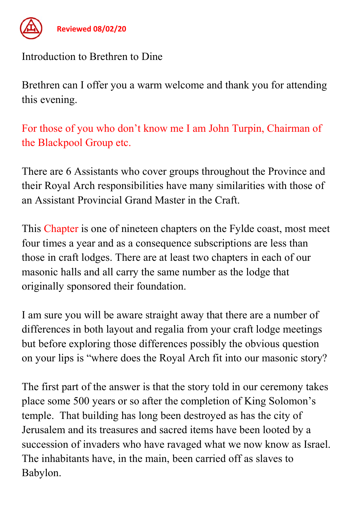

Reviewed 08/02/20

## Introduction to Brethren to Dine

Brethren can I offer you a warm welcome and thank you for attending this evening.

For those of you who don't know me I am John Turpin, Chairman of the Blackpool Group etc.

There are 6 Assistants who cover groups throughout the Province and their Royal Arch responsibilities have many similarities with those of an Assistant Provincial Grand Master in the Craft.

This Chapter is one of nineteen chapters on the Fylde coast, most meet four times a year and as a consequence subscriptions are less than those in craft lodges. There are at least two chapters in each of our masonic halls and all carry the same number as the lodge that originally sponsored their foundation.

I am sure you will be aware straight away that there are a number of differences in both layout and regalia from your craft lodge meetings but before exploring those differences possibly the obvious question on your lips is "where does the Royal Arch fit into our masonic story?

The first part of the answer is that the story told in our ceremony takes place some 500 years or so after the completion of King Solomon's temple. That building has long been destroyed as has the city of Jerusalem and its treasures and sacred items have been looted by a succession of invaders who have ravaged what we now know as Israel. The inhabitants have, in the main, been carried off as slaves to Babylon.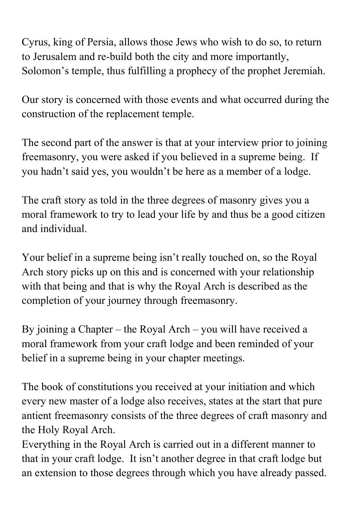Cyrus, king of Persia, allows those Jews who wish to do so, to return to Jerusalem and re-build both the city and more importantly, Solomon's temple, thus fulfilling a prophecy of the prophet Jeremiah.

Our story is concerned with those events and what occurred during the construction of the replacement temple.

The second part of the answer is that at your interview prior to joining freemasonry, you were asked if you believed in a supreme being. If you hadn't said yes, you wouldn't be here as a member of a lodge.

The craft story as told in the three degrees of masonry gives you a moral framework to try to lead your life by and thus be a good citizen and individual.

Your belief in a supreme being isn't really touched on, so the Royal Arch story picks up on this and is concerned with your relationship with that being and that is why the Royal Arch is described as the completion of your journey through freemasonry.

By joining a Chapter – the Royal Arch – you will have received a moral framework from your craft lodge and been reminded of your belief in a supreme being in your chapter meetings.

The book of constitutions you received at your initiation and which every new master of a lodge also receives, states at the start that pure antient freemasonry consists of the three degrees of craft masonry and the Holy Royal Arch.

Everything in the Royal Arch is carried out in a different manner to that in your craft lodge. It isn't another degree in that craft lodge but an extension to those degrees through which you have already passed.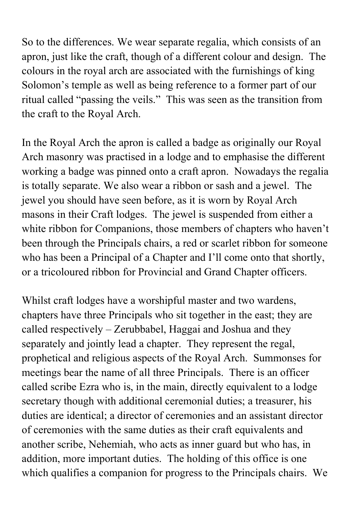So to the differences. We wear separate regalia, which consists of an apron, just like the craft, though of a different colour and design. The colours in the royal arch are associated with the furnishings of king Solomon's temple as well as being reference to a former part of our ritual called "passing the veils." This was seen as the transition from the craft to the Royal Arch.

In the Royal Arch the apron is called a badge as originally our Royal Arch masonry was practised in a lodge and to emphasise the different working a badge was pinned onto a craft apron. Nowadays the regalia is totally separate. We also wear a ribbon or sash and a jewel. The jewel you should have seen before, as it is worn by Royal Arch masons in their Craft lodges. The jewel is suspended from either a white ribbon for Companions, those members of chapters who haven't been through the Principals chairs, a red or scarlet ribbon for someone who has been a Principal of a Chapter and I'll come onto that shortly, or a tricoloured ribbon for Provincial and Grand Chapter officers.

Whilst craft lodges have a worshipful master and two wardens, chapters have three Principals who sit together in the east; they are called respectively – Zerubbabel, Haggai and Joshua and they separately and jointly lead a chapter. They represent the regal, prophetical and religious aspects of the Royal Arch. Summonses for meetings bear the name of all three Principals. There is an officer called scribe Ezra who is, in the main, directly equivalent to a lodge secretary though with additional ceremonial duties; a treasurer, his duties are identical; a director of ceremonies and an assistant director of ceremonies with the same duties as their craft equivalents and another scribe, Nehemiah, who acts as inner guard but who has, in addition, more important duties. The holding of this office is one which qualifies a companion for progress to the Principals chairs. We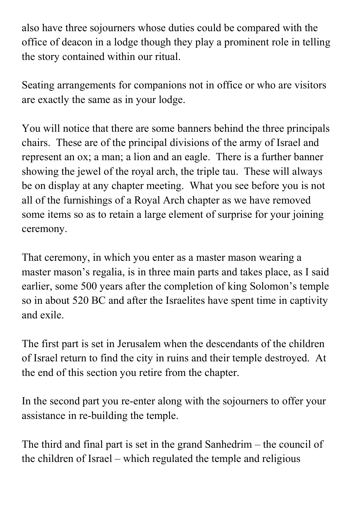also have three sojourners whose duties could be compared with the office of deacon in a lodge though they play a prominent role in telling the story contained within our ritual.

Seating arrangements for companions not in office or who are visitors are exactly the same as in your lodge.

You will notice that there are some banners behind the three principals chairs. These are of the principal divisions of the army of Israel and represent an ox; a man; a lion and an eagle. There is a further banner showing the jewel of the royal arch, the triple tau. These will always be on display at any chapter meeting. What you see before you is not all of the furnishings of a Royal Arch chapter as we have removed some items so as to retain a large element of surprise for your joining ceremony.

That ceremony, in which you enter as a master mason wearing a master mason's regalia, is in three main parts and takes place, as I said earlier, some 500 years after the completion of king Solomon's temple so in about 520 BC and after the Israelites have spent time in captivity and exile.

The first part is set in Jerusalem when the descendants of the children of Israel return to find the city in ruins and their temple destroyed. At the end of this section you retire from the chapter.

In the second part you re-enter along with the sojourners to offer your assistance in re-building the temple.

The third and final part is set in the grand Sanhedrim – the council of the children of Israel – which regulated the temple and religious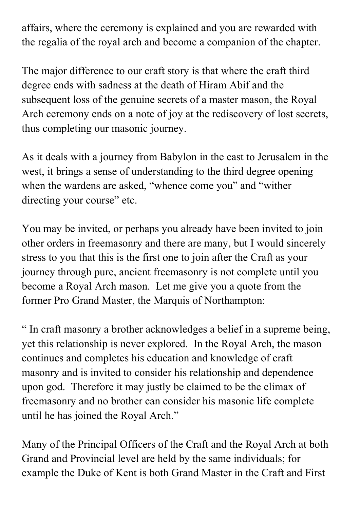affairs, where the ceremony is explained and you are rewarded with the regalia of the royal arch and become a companion of the chapter.

The major difference to our craft story is that where the craft third degree ends with sadness at the death of Hiram Abif and the subsequent loss of the genuine secrets of a master mason, the Royal Arch ceremony ends on a note of joy at the rediscovery of lost secrets, thus completing our masonic journey.

As it deals with a journey from Babylon in the east to Jerusalem in the west, it brings a sense of understanding to the third degree opening when the wardens are asked, "whence come you" and "wither directing your course" etc.

You may be invited, or perhaps you already have been invited to join other orders in freemasonry and there are many, but I would sincerely stress to you that this is the first one to join after the Craft as your journey through pure, ancient freemasonry is not complete until you become a Royal Arch mason. Let me give you a quote from the former Pro Grand Master, the Marquis of Northampton:

" In craft masonry a brother acknowledges a belief in a supreme being, yet this relationship is never explored. In the Royal Arch, the mason continues and completes his education and knowledge of craft masonry and is invited to consider his relationship and dependence upon god. Therefore it may justly be claimed to be the climax of freemasonry and no brother can consider his masonic life complete until he has joined the Royal Arch."

Many of the Principal Officers of the Craft and the Royal Arch at both Grand and Provincial level are held by the same individuals; for example the Duke of Kent is both Grand Master in the Craft and First